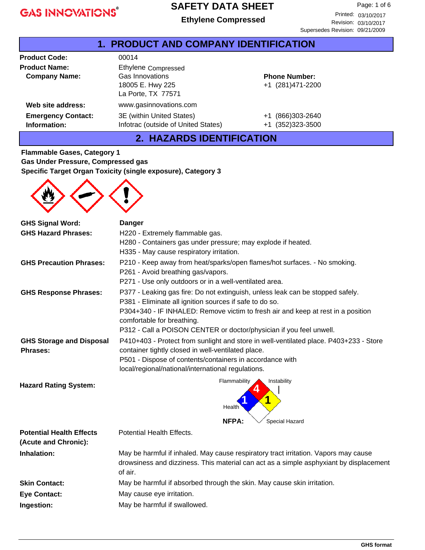#### **SAFETY DATA SHEET**

|                                              | Luiviche Obliipicsseu                                                            | Revision: 03/10/2017<br>Supersedes Revision: 09/21/2009 |  |  |  |
|----------------------------------------------|----------------------------------------------------------------------------------|---------------------------------------------------------|--|--|--|
| <b>1. PRODUCT AND COMPANY IDENTIFICATION</b> |                                                                                  |                                                         |  |  |  |
| <b>Product Code:</b>                         | 00014                                                                            |                                                         |  |  |  |
| <b>Product Name:</b><br><b>Company Name:</b> | Ethylene Compressed<br>Gas Innovations<br>18005 E. Hwy 225<br>La Porte, TX 77571 | <b>Phone Number:</b><br>+1 (281)471-2200                |  |  |  |
| Web site address:                            | www.gasinnovations.com                                                           |                                                         |  |  |  |
| <b>Emergency Contact:</b><br>Information:    | 3E (within United States)<br>Infotrac (outside of United States)                 | (866) 303-2640<br>$+1$<br>$(352)323 - 3500$<br>$+1$     |  |  |  |

# **2. HAZARDS IDENTIFICATION**

**Flammable Gases, Category 1 Gas Under Pressure, Compressed gas Specific Target Organ Toxicity (single exposure), Category 3**



| <b>GHS Signal Word:</b>                            | <b>Danger</b>                                                                                                                                                                            |  |  |
|----------------------------------------------------|------------------------------------------------------------------------------------------------------------------------------------------------------------------------------------------|--|--|
| <b>GHS Hazard Phrases:</b>                         | H220 - Extremely flammable gas.                                                                                                                                                          |  |  |
|                                                    | H280 - Containers gas under pressure; may explode if heated.                                                                                                                             |  |  |
|                                                    | H335 - May cause respiratory irritation.                                                                                                                                                 |  |  |
| <b>GHS Precaution Phrases:</b>                     | P210 - Keep away from heat/sparks/open flames/hot surfaces. - No smoking.                                                                                                                |  |  |
|                                                    | P261 - Avoid breathing gas/vapors.                                                                                                                                                       |  |  |
|                                                    | P271 - Use only outdoors or in a well-ventilated area.                                                                                                                                   |  |  |
| <b>GHS Response Phrases:</b>                       | P377 - Leaking gas fire: Do not extinguish, unless leak can be stopped safely.<br>P381 - Eliminate all ignition sources if safe to do so.                                                |  |  |
|                                                    | P304+340 - IF INHALED: Remove victim to fresh air and keep at rest in a position<br>comfortable for breathing.                                                                           |  |  |
|                                                    | P312 - Call a POISON CENTER or doctor/physician if you feel unwell.                                                                                                                      |  |  |
| <b>GHS Storage and Disposal</b><br><b>Phrases:</b> | P410+403 - Protect from sunlight and store in well-ventilated place. P403+233 - Store<br>container tightly closed in well-ventilated place.                                              |  |  |
|                                                    | P501 - Dispose of contents/containers in accordance with                                                                                                                                 |  |  |
|                                                    | local/regional/national/international regulations.                                                                                                                                       |  |  |
| <b>Hazard Rating System:</b>                       | Flammability<br>Instability                                                                                                                                                              |  |  |
|                                                    |                                                                                                                                                                                          |  |  |
|                                                    | Health                                                                                                                                                                                   |  |  |
|                                                    | <b>NFPA:</b><br>Special Hazard                                                                                                                                                           |  |  |
| <b>Potential Health Effects</b>                    | Potential Health Effects.                                                                                                                                                                |  |  |
| (Acute and Chronic):                               |                                                                                                                                                                                          |  |  |
| Inhalation:                                        | May be harmful if inhaled. May cause respiratory tract irritation. Vapors may cause<br>drowsiness and dizziness. This material can act as a simple asphyxiant by displacement<br>of air. |  |  |
| <b>Skin Contact:</b>                               | May be harmful if absorbed through the skin. May cause skin irritation.                                                                                                                  |  |  |
| <b>Eye Contact:</b>                                | May cause eye irritation.                                                                                                                                                                |  |  |
| Ingestion:                                         | May be harmful if swallowed.                                                                                                                                                             |  |  |
|                                                    |                                                                                                                                                                                          |  |  |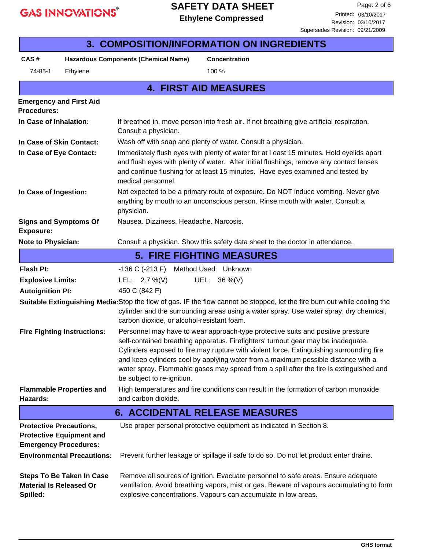### **SAFETY DATA SHEET**

| <b>3. COMPOSITION/INFORMATION ON INGREDIENTS</b>                                                                                                                                                                                                                   |                                                                                                                                                                                                                                                                                                                                                                                                                                                                                |                                                                                                                                                                                                                                                 |  |  |
|--------------------------------------------------------------------------------------------------------------------------------------------------------------------------------------------------------------------------------------------------------------------|--------------------------------------------------------------------------------------------------------------------------------------------------------------------------------------------------------------------------------------------------------------------------------------------------------------------------------------------------------------------------------------------------------------------------------------------------------------------------------|-------------------------------------------------------------------------------------------------------------------------------------------------------------------------------------------------------------------------------------------------|--|--|
| CAS#                                                                                                                                                                                                                                                               | <b>Hazardous Components (Chemical Name)</b>                                                                                                                                                                                                                                                                                                                                                                                                                                    | <b>Concentration</b>                                                                                                                                                                                                                            |  |  |
| 74-85-1<br>Ethylene                                                                                                                                                                                                                                                |                                                                                                                                                                                                                                                                                                                                                                                                                                                                                | 100 %                                                                                                                                                                                                                                           |  |  |
|                                                                                                                                                                                                                                                                    |                                                                                                                                                                                                                                                                                                                                                                                                                                                                                | <b>4. FIRST AID MEASURES</b>                                                                                                                                                                                                                    |  |  |
| <b>Emergency and First Aid</b><br><b>Procedures:</b>                                                                                                                                                                                                               |                                                                                                                                                                                                                                                                                                                                                                                                                                                                                |                                                                                                                                                                                                                                                 |  |  |
| In Case of Inhalation:                                                                                                                                                                                                                                             | Consult a physician.                                                                                                                                                                                                                                                                                                                                                                                                                                                           | If breathed in, move person into fresh air. If not breathing give artificial respiration.                                                                                                                                                       |  |  |
| In Case of Skin Contact:                                                                                                                                                                                                                                           | Wash off with soap and plenty of water. Consult a physician.                                                                                                                                                                                                                                                                                                                                                                                                                   |                                                                                                                                                                                                                                                 |  |  |
| In Case of Eye Contact:                                                                                                                                                                                                                                            | Immediately flush eyes with plenty of water for at I east 15 minutes. Hold eyelids apart<br>and flush eyes with plenty of water. After initial flushings, remove any contact lenses<br>and continue flushing for at least 15 minutes. Have eyes examined and tested by<br>medical personnel.                                                                                                                                                                                   |                                                                                                                                                                                                                                                 |  |  |
| In Case of Ingestion:                                                                                                                                                                                                                                              | Not expected to be a primary route of exposure. Do NOT induce vomiting. Never give<br>anything by mouth to an unconscious person. Rinse mouth with water. Consult a<br>physician.                                                                                                                                                                                                                                                                                              |                                                                                                                                                                                                                                                 |  |  |
| <b>Signs and Symptoms Of</b><br><b>Exposure:</b>                                                                                                                                                                                                                   | Nausea. Dizziness. Headache. Narcosis.                                                                                                                                                                                                                                                                                                                                                                                                                                         |                                                                                                                                                                                                                                                 |  |  |
| Note to Physician:                                                                                                                                                                                                                                                 |                                                                                                                                                                                                                                                                                                                                                                                                                                                                                | Consult a physician. Show this safety data sheet to the doctor in attendance.                                                                                                                                                                   |  |  |
|                                                                                                                                                                                                                                                                    |                                                                                                                                                                                                                                                                                                                                                                                                                                                                                | <b>5. FIRE FIGHTING MEASURES</b>                                                                                                                                                                                                                |  |  |
| <b>Flash Pt:</b>                                                                                                                                                                                                                                                   | -136 C (-213 F) Method Used: Unknown                                                                                                                                                                                                                                                                                                                                                                                                                                           |                                                                                                                                                                                                                                                 |  |  |
| <b>Explosive Limits:</b>                                                                                                                                                                                                                                           | LEL: $2.7\%$ (V)                                                                                                                                                                                                                                                                                                                                                                                                                                                               | UEL: $36\%$ (V)                                                                                                                                                                                                                                 |  |  |
| <b>Autoignition Pt:</b>                                                                                                                                                                                                                                            | 450 C (842 F)                                                                                                                                                                                                                                                                                                                                                                                                                                                                  |                                                                                                                                                                                                                                                 |  |  |
| Suitable Extinguishing Media: Stop the flow of gas. IF the flow cannot be stopped, let the fire burn out while cooling the<br>cylinder and the surrounding areas using a water spray. Use water spray, dry chemical,<br>carbon dioxide, or alcohol-resistant foam. |                                                                                                                                                                                                                                                                                                                                                                                                                                                                                |                                                                                                                                                                                                                                                 |  |  |
| <b>Fire Fighting Instructions:</b>                                                                                                                                                                                                                                 | Personnel may have to wear approach-type protective suits and positive pressure<br>self-contained breathing apparatus. Firefighters' turnout gear may be inadequate.<br>Cylinders exposed to fire may rupture with violent force. Extinguishing surrounding fire<br>and keep cylinders cool by applying water from a maximum possible distance with a<br>water spray. Flammable gases may spread from a spill after the fire is extinguished and<br>be subject to re-ignition. |                                                                                                                                                                                                                                                 |  |  |
| <b>Flammable Properties and</b><br>Hazards:                                                                                                                                                                                                                        | High temperatures and fire conditions can result in the formation of carbon monoxide<br>and carbon dioxide.                                                                                                                                                                                                                                                                                                                                                                    |                                                                                                                                                                                                                                                 |  |  |
| <b>6. ACCIDENTAL RELEASE MEASURES</b>                                                                                                                                                                                                                              |                                                                                                                                                                                                                                                                                                                                                                                                                                                                                |                                                                                                                                                                                                                                                 |  |  |
| <b>Protective Precautions,</b><br><b>Protective Equipment and</b><br><b>Emergency Procedures:</b>                                                                                                                                                                  |                                                                                                                                                                                                                                                                                                                                                                                                                                                                                | Use proper personal protective equipment as indicated in Section 8.                                                                                                                                                                             |  |  |
| <b>Environmental Precautions:</b>                                                                                                                                                                                                                                  | Prevent further leakage or spillage if safe to do so. Do not let product enter drains.                                                                                                                                                                                                                                                                                                                                                                                         |                                                                                                                                                                                                                                                 |  |  |
| <b>Steps To Be Taken In Case</b><br><b>Material Is Released Or</b><br>Spilled:                                                                                                                                                                                     |                                                                                                                                                                                                                                                                                                                                                                                                                                                                                | Remove all sources of ignition. Evacuate personnel to safe areas. Ensure adequate<br>ventilation. Avoid breathing vapors, mist or gas. Beware of vapours accumulating to form<br>explosive concentrations. Vapours can accumulate in low areas. |  |  |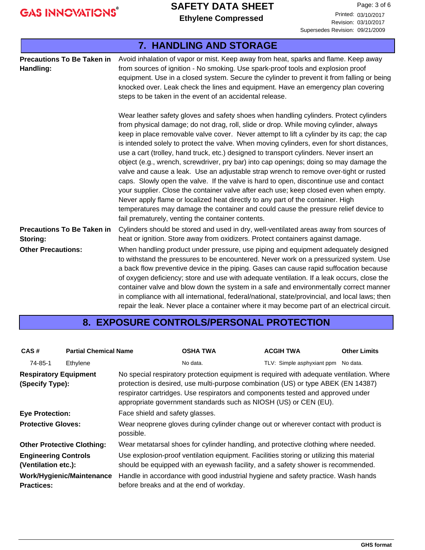# **SAFETY DATA SHEET**

**Ethylene Compressed Ethylene Compressed Compressed Ethylene Compressed** 

Revision: 03/10/2017 Supersedes Revision: 09/21/2009

| 7. HANDLING AND STORAGE                        |                                                                                                                                                                                                                                                                                                                                                                                                                                                                                                                                                                                                                                                                                                                                                                                                                                                                                                                                                                                                                                                                           |  |  |  |
|------------------------------------------------|---------------------------------------------------------------------------------------------------------------------------------------------------------------------------------------------------------------------------------------------------------------------------------------------------------------------------------------------------------------------------------------------------------------------------------------------------------------------------------------------------------------------------------------------------------------------------------------------------------------------------------------------------------------------------------------------------------------------------------------------------------------------------------------------------------------------------------------------------------------------------------------------------------------------------------------------------------------------------------------------------------------------------------------------------------------------------|--|--|--|
| <b>Precautions To Be Taken in</b><br>Handling: | Avoid inhalation of vapor or mist. Keep away from heat, sparks and flame. Keep away<br>from sources of ignition - No smoking. Use spark-proof tools and explosion proof<br>equipment. Use in a closed system. Secure the cylinder to prevent it from falling or being<br>knocked over. Leak check the lines and equipment. Have an emergency plan covering<br>steps to be taken in the event of an accidental release.                                                                                                                                                                                                                                                                                                                                                                                                                                                                                                                                                                                                                                                    |  |  |  |
|                                                | Wear leather safety gloves and safety shoes when handling cylinders. Protect cylinders<br>from physical damage; do not drag, roll, slide or drop. While moving cylinder, always<br>keep in place removable valve cover. Never attempt to lift a cylinder by its cap; the cap<br>is intended solely to protect the valve. When moving cylinders, even for short distances,<br>use a cart (trolley, hand truck, etc.) designed to transport cylinders. Never insert an<br>object (e.g., wrench, screwdriver, pry bar) into cap openings; doing so may damage the<br>valve and cause a leak. Use an adjustable strap wrench to remove over-tight or rusted<br>caps. Slowly open the valve. If the valve is hard to open, discontinue use and contact<br>your supplier. Close the container valve after each use; keep closed even when empty.<br>Never apply flame or localized heat directly to any part of the container. High<br>temperatures may damage the container and could cause the pressure relief device to<br>fail prematurely, venting the container contents. |  |  |  |
| <b>Precautions To Be Taken in</b><br>Storing:  | Cylinders should be stored and used in dry, well-ventilated areas away from sources of<br>heat or ignition. Store away from oxidizers. Protect containers against damage.                                                                                                                                                                                                                                                                                                                                                                                                                                                                                                                                                                                                                                                                                                                                                                                                                                                                                                 |  |  |  |
| <b>Other Precautions:</b>                      | When handling product under pressure, use piping and equipment adequately designed<br>to withstand the pressures to be encountered. Never work on a pressurized system. Use<br>a back flow preventive device in the piping. Gases can cause rapid suffocation because<br>of oxygen deficiency; store and use with adequate ventilation. If a leak occurs, close the<br>container valve and blow down the system in a safe and environmentally correct manner<br>in compliance with all international, federal/national, state/provincial, and local laws; then<br>repair the leak. Never place a container where it may become part of an electrical circuit.                                                                                                                                                                                                                                                                                                                                                                                                             |  |  |  |

#### **8. EXPOSURE CONTROLS/PERSONAL PROTECTION**

| CAS#                                                                                                                                                                                                                               | <b>Partial Chemical Name</b>                                                                                            |                                                                                                                                                                                                                                                                                                                                      | <b>OSHA TWA</b>                                                                                                               | <b>ACGIH TWA</b>                    | <b>Other Limits</b> |  |
|------------------------------------------------------------------------------------------------------------------------------------------------------------------------------------------------------------------------------------|-------------------------------------------------------------------------------------------------------------------------|--------------------------------------------------------------------------------------------------------------------------------------------------------------------------------------------------------------------------------------------------------------------------------------------------------------------------------------|-------------------------------------------------------------------------------------------------------------------------------|-------------------------------------|---------------------|--|
| 74-85-1                                                                                                                                                                                                                            | Ethylene                                                                                                                |                                                                                                                                                                                                                                                                                                                                      | No data.                                                                                                                      | TLV: Simple asphyxiant ppm No data. |                     |  |
| <b>Respiratory Equipment</b><br>(Specify Type):                                                                                                                                                                                    |                                                                                                                         | No special respiratory protection equipment is required with adequate ventilation. Where<br>protection is desired, use multi-purpose combination (US) or type ABEK (EN 14387)<br>respirator cartridges. Use respirators and components tested and approved under<br>appropriate government standards such as NIOSH (US) or CEN (EU). |                                                                                                                               |                                     |                     |  |
| Face shield and safety glasses.<br><b>Eye Protection:</b>                                                                                                                                                                          |                                                                                                                         |                                                                                                                                                                                                                                                                                                                                      |                                                                                                                               |                                     |                     |  |
| Wear neoprene gloves during cylinder change out or wherever contact with product is<br><b>Protective Gloves:</b><br>possible.                                                                                                      |                                                                                                                         |                                                                                                                                                                                                                                                                                                                                      |                                                                                                                               |                                     |                     |  |
|                                                                                                                                                                                                                                    | Wear metatarsal shoes for cylinder handling, and protective clothing where needed.<br><b>Other Protective Clothing:</b> |                                                                                                                                                                                                                                                                                                                                      |                                                                                                                               |                                     |                     |  |
| Use explosion-proof ventilation equipment. Facilities storing or utilizing this material<br><b>Engineering Controls</b><br>should be equipped with an eyewash facility, and a safety shower is recommended.<br>(Ventilation etc.): |                                                                                                                         |                                                                                                                                                                                                                                                                                                                                      |                                                                                                                               |                                     |                     |  |
| <b>Practices:</b>                                                                                                                                                                                                                  | Work/Hygienic/Maintenance                                                                                               |                                                                                                                                                                                                                                                                                                                                      | Handle in accordance with good industrial hygiene and safety practice. Wash hands<br>before breaks and at the end of workday. |                                     |                     |  |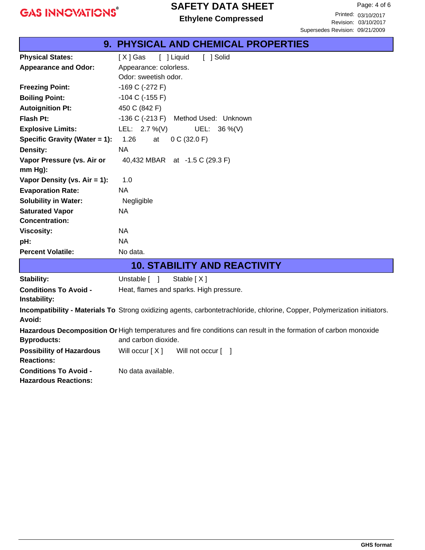### **SAFETY DATA SHEET**

|                                                                                                                 | <b>9. PHYSICAL AND CHEMICAL PROPERTIES</b>                                                                                |  |  |
|-----------------------------------------------------------------------------------------------------------------|---------------------------------------------------------------------------------------------------------------------------|--|--|
| <b>Physical States:</b>                                                                                         | [ ] Solid<br>$[X]$ Gas<br>[ ] Liquid                                                                                      |  |  |
| <b>Appearance and Odor:</b>                                                                                     | Appearance: colorless.                                                                                                    |  |  |
|                                                                                                                 | Odor: sweetish odor.                                                                                                      |  |  |
| <b>Freezing Point:</b>                                                                                          | -169 C (-272 F)                                                                                                           |  |  |
| <b>Boiling Point:</b>                                                                                           | $-104$ C ( $-155$ F)                                                                                                      |  |  |
| <b>Autoignition Pt:</b>                                                                                         | 450 C (842 F)                                                                                                             |  |  |
| <b>Flash Pt:</b>                                                                                                | $-136$ C $(-213)$ F)<br>Method Used: Unknown                                                                              |  |  |
| <b>Explosive Limits:</b>                                                                                        | LEL: $2.7\%$ (V)<br>UEL: 36 %(V)                                                                                          |  |  |
| Specific Gravity (Water = 1):                                                                                   | 1.26<br>at<br>0 C (32.0 F)                                                                                                |  |  |
| Density:                                                                                                        | <b>NA</b>                                                                                                                 |  |  |
| Vapor Pressure (vs. Air or                                                                                      | 40,432 MBAR at -1.5 C (29.3 F)                                                                                            |  |  |
| mm Hg):                                                                                                         |                                                                                                                           |  |  |
| Vapor Density (vs. Air = 1):                                                                                    | 1.0                                                                                                                       |  |  |
| <b>Evaporation Rate:</b>                                                                                        | <b>NA</b>                                                                                                                 |  |  |
| <b>Solubility in Water:</b>                                                                                     | Negligible                                                                                                                |  |  |
| <b>Saturated Vapor</b>                                                                                          | <b>NA</b>                                                                                                                 |  |  |
| <b>Concentration:</b>                                                                                           |                                                                                                                           |  |  |
| <b>Viscosity:</b>                                                                                               | <b>NA</b>                                                                                                                 |  |  |
| pH:                                                                                                             | <b>NA</b>                                                                                                                 |  |  |
| <b>Percent Volatile:</b>                                                                                        | No data.                                                                                                                  |  |  |
|                                                                                                                 | <b>10. STABILITY AND REACTIVITY</b>                                                                                       |  |  |
| <b>Stability:</b>                                                                                               | Stable [X]<br>Unstable $\lceil \quad \rceil$                                                                              |  |  |
| <b>Conditions To Avoid -</b>                                                                                    | Heat, flames and sparks. High pressure.                                                                                   |  |  |
| Instability:                                                                                                    |                                                                                                                           |  |  |
| Avoid:                                                                                                          | Incompatibility - Materials To Strong oxidizing agents, carbontetrachloride, chlorine, Copper, Polymerization initiators. |  |  |
| Hazardous Decomposition Or High temperatures and fire conditions can result in the formation of carbon monoxide |                                                                                                                           |  |  |
| <b>Byproducts:</b>                                                                                              | and carbon dioxide.                                                                                                       |  |  |
| <b>Possibility of Hazardous</b>                                                                                 | Will occur [X]<br>Will not occur [ ]                                                                                      |  |  |
| <b>Reactions:</b>                                                                                               |                                                                                                                           |  |  |
| <b>Conditions To Avoid -</b>                                                                                    | No data available.                                                                                                        |  |  |
| <b>Hazardous Reactions:</b>                                                                                     |                                                                                                                           |  |  |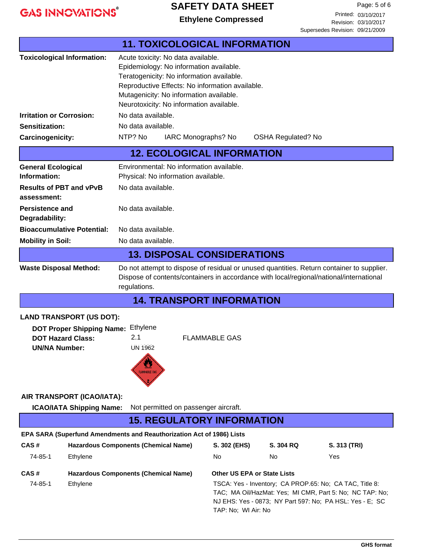#### **SAFETY DATA SHEET**

Revision: 03/29/2015 04/08/2016 03/10/201703/10/2017Printed: 03/10/2017 Page: 5 of 6 Printed: 03/10/2017<br>Revision: 03/10/2017 **Ethylene Compressed** Supersedes Revision: 09/21/2009

|                                                                                                                                                                                                                                       |                                                                                                                                                                                                                                                                      |                      |                                    | UUDUISUUUS INUVISIUIT. UJ/LI/LUUJ                                                                                                                                               |
|---------------------------------------------------------------------------------------------------------------------------------------------------------------------------------------------------------------------------------------|----------------------------------------------------------------------------------------------------------------------------------------------------------------------------------------------------------------------------------------------------------------------|----------------------|------------------------------------|---------------------------------------------------------------------------------------------------------------------------------------------------------------------------------|
|                                                                                                                                                                                                                                       | <b>11. TOXICOLOGICAL INFORMATION</b>                                                                                                                                                                                                                                 |                      |                                    |                                                                                                                                                                                 |
| <b>Toxicological Information:</b>                                                                                                                                                                                                     | Acute toxicity: No data available.<br>Epidemiology: No information available.<br>Teratogenicity: No information available.<br>Reproductive Effects: No information available.<br>Mutagenicity: No information available.<br>Neurotoxicity: No information available. |                      |                                    |                                                                                                                                                                                 |
| <b>Irritation or Corrosion:</b>                                                                                                                                                                                                       | No data available.                                                                                                                                                                                                                                                   |                      |                                    |                                                                                                                                                                                 |
| Sensitization:                                                                                                                                                                                                                        | No data available.                                                                                                                                                                                                                                                   |                      |                                    |                                                                                                                                                                                 |
| Carcinogenicity:                                                                                                                                                                                                                      | NTP? No                                                                                                                                                                                                                                                              | IARC Monographs? No  | <b>OSHA Regulated? No</b>          |                                                                                                                                                                                 |
|                                                                                                                                                                                                                                       | <b>12. ECOLOGICAL INFORMATION</b>                                                                                                                                                                                                                                    |                      |                                    |                                                                                                                                                                                 |
| <b>General Ecological</b><br>Information:                                                                                                                                                                                             | Environmental: No information available.<br>Physical: No information available.                                                                                                                                                                                      |                      |                                    |                                                                                                                                                                                 |
| <b>Results of PBT and vPvB</b><br>assessment:                                                                                                                                                                                         | No data available.                                                                                                                                                                                                                                                   |                      |                                    |                                                                                                                                                                                 |
| <b>Persistence and</b><br>Degradability:                                                                                                                                                                                              | No data available.                                                                                                                                                                                                                                                   |                      |                                    |                                                                                                                                                                                 |
| <b>Bioaccumulative Potential:</b>                                                                                                                                                                                                     | No data available.                                                                                                                                                                                                                                                   |                      |                                    |                                                                                                                                                                                 |
| <b>Mobility in Soil:</b>                                                                                                                                                                                                              | No data available.                                                                                                                                                                                                                                                   |                      |                                    |                                                                                                                                                                                 |
|                                                                                                                                                                                                                                       | <b>13. DISPOSAL CONSIDERATIONS</b>                                                                                                                                                                                                                                   |                      |                                    |                                                                                                                                                                                 |
| Do not attempt to dispose of residual or unused quantities. Return container to supplier.<br><b>Waste Disposal Method:</b><br>Dispose of contents/containers in accordance with local/regional/national/international<br>regulations. |                                                                                                                                                                                                                                                                      |                      |                                    |                                                                                                                                                                                 |
|                                                                                                                                                                                                                                       | <b>14. TRANSPORT INFORMATION</b>                                                                                                                                                                                                                                     |                      |                                    |                                                                                                                                                                                 |
| <b>LAND TRANSPORT (US DOT):</b><br><b>DOT Proper Shipping Name:</b><br><b>DOT Hazard Class:</b><br><b>UN/NA Number:</b>                                                                                                               | Ethylene<br>2.1<br><b>UN 1962</b><br><b>FLAMMABLE GAS</b>                                                                                                                                                                                                            | <b>FLAMMABLE GAS</b> |                                    |                                                                                                                                                                                 |
| AIR TRANSPORT (ICAO/IATA):<br><b>ICAO/IATA Shipping Name:</b>                                                                                                                                                                         | Not permitted on passenger aircraft.                                                                                                                                                                                                                                 |                      |                                    |                                                                                                                                                                                 |
| <b>15. REGULATORY INFORMATION</b>                                                                                                                                                                                                     |                                                                                                                                                                                                                                                                      |                      |                                    |                                                                                                                                                                                 |
| EPA SARA (Superfund Amendments and Reauthorization Act of 1986) Lists                                                                                                                                                                 |                                                                                                                                                                                                                                                                      |                      |                                    |                                                                                                                                                                                 |
| CAS#                                                                                                                                                                                                                                  | <b>Hazardous Components (Chemical Name)</b>                                                                                                                                                                                                                          | S. 302 (EHS)         | S. 304 RQ                          | S. 313 (TRI)                                                                                                                                                                    |
| 74-85-1<br>Ethylene                                                                                                                                                                                                                   |                                                                                                                                                                                                                                                                      | No                   | No                                 | Yes                                                                                                                                                                             |
| CAS#                                                                                                                                                                                                                                  | <b>Hazardous Components (Chemical Name)</b>                                                                                                                                                                                                                          |                      | <b>Other US EPA or State Lists</b> |                                                                                                                                                                                 |
| 74-85-1<br>Ethylene                                                                                                                                                                                                                   |                                                                                                                                                                                                                                                                      |                      |                                    | TSCA: Yes - Inventory; CA PROP.65: No; CA TAC, Title 8:<br>TAC; MA Oil/HazMat: Yes; MI CMR, Part 5: No; NC TAP: No;<br>NJ EHS: Yes - 0873; NY Part 597: No; PA HSL: Yes - E; SC |

TAP: No; WI Air: No